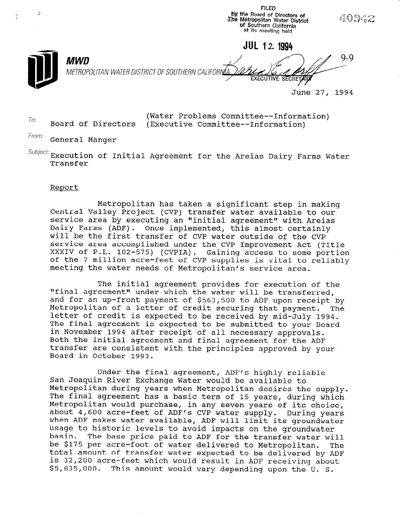By the Board of Directors of<br>iThe Metropolitan Water District<br>of Southern California 40942 at its meeting held JUL 12 1994  $Q_Q$ **MWD** METROPOLITAN WATER DISTRICT OF SOUTHERN CALIFORNIA June 27, 1994

 $T$ o: Board of Directors (Executive Committee--Information)<br>  $T$ o: Board of Directors (Executive Committee--Information) (Executive Committee--Information)

**FILED** 

From: General Manger

 $\textit{Subject:}$  Execution of Initial Agreement for the Areias Dairy Farms Water Transfer

# Report

Metropolitan has taken a significant step in making Central Valley Project (CVP) transfer water available to our service area by executing an "initial agreement" with Areia Dairy Farms (ADF). Once implemented, this almost certainly will be the first transfer of CVP water outside of the CVP service area accomplished under the CVP Improvement Act (Title XXXIV of P.L. 102-575) (CVPIA). Gaining access to some portion of the 7 million acre-feet of CVP supplies is vital to reliably meeting the water needs of Metropolitan's service area.

The initial agreement provides for execution of the "final agreement" under which the water will be transferred, and for an up-front payment of \$563,500 to ADF upon receipt by Metropolitan of a letter of credit securing that payment. The letter of credit is expected to be received by mid-July 1994. The final agreement is expected to be submitted to your Board in November 1994 after receipt of all necessary approvals. Both the initial agreement and final agreement for the ADF transfer are consistent with the principles approved by your Board in October 1993.

Under the final agreement, ADF's highly reliable San Joaquin River Exchange Water would be available to Metropolitan during years when Metropolitan desires the supply. The final agreement has a basic term of 15 years, during which Metropolitan would purchase, in any seven years of its choice, nceroportean would purchase, in any seven years or its choice<br>about 4,600 acre-feet of ADF's CVD water supply. During years about 4,000 acte-reet of ADF S CVP water Supply. During yes when ADT makes water available, ADT will limit its groundwater usage to historic revers to avoid impacts on the groundwater basin. The base price paid to ADF for the transfer water will<br>be \$175 per acre-foot of water delivered to Metropolitan. The pe yild per acre-root or water delivered to metropolitan. The colar amount of transfer water expected to be defivered by Al is 32,200 acre-feet which would result in ADF receiving about<br>\$5,635,000. This amount would vary depending upon the U.S.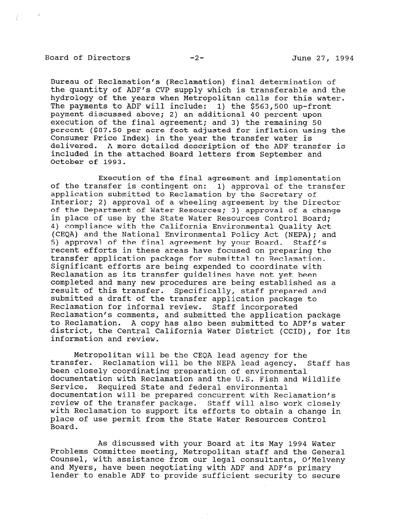## Board of Directors -2- -2- June 27, 1994

Bureau of Reclamation's (Reclamation) final determination of the quantity of ADF's CVP supply which is transferable and the hydrology of the years when Metropolitan calls for this water. The payments to ADF will include: 1) the \$563,500 up-front payment discussed above; 2) an additional 40 percent upon execution of the final agreement; and 3) the remaining 50 percent (\$87.50 per acre-foot adjusted for inflation using the Consumer Price Index) in the year the transfer water is delivered. A more detailed description of the ADF transfer is included in the attached Board letters from September and October of 1993.

Execution of the final agreement and implementation of the transfer is contingent on: 1) approval of the transfer application submitted to Reclamation by the Secretary of Interior; 2) approval of a wheeling agreement by the Director of the Department of Water Resources; 3) approval of a change in place of use by the State Water Resources Control Board; 4) compliance with the California Environmental Quality Act (CEQA) and the National Environmental Policy Act (NEPA); and 5) approval of the final agreement by your Board. Staff's recent efforts in these areas have focused on preparing the transfer application package for submittal to Reclamation. Significant efforts are being expended to coordinate with Reclamation as its transfer guidelines have not yet been completed and many new procedures are being established as a result of this transfer. Specifically, staff prepared and submitted a draft of the transfer application package to Reclamation for informal review. Staff incorporated Reclamation's comments, and submitted the application package to Reclamation. A copy has also been submitted to ADF's water district, the Central California Water District (CCID), for its information and review.

Metropolitan will be the CEQA lead agency for the necroporitan will be the CEQA fead agency for the<br>transfer. Beglamation will be the NEDA lead agency. Staff has been closely coordination when the NEPA lead agency been closely coordinating preparation of environmental<br>documentation with Reclamation and the U.S. Fish and Wildlife Service. Required State and federal environmental documentation will be prepared concurrent with Reclamation's review of the transfer package. Staff will recidiation. review of the transfer package. Staff will also work closely with Reclamation to support its efforts to obtain a change in place of use permit from the State Water Resources Control<br>Board.

As discussed with your Board at its May 1994 Water AS UISCUSSED WILD YOUR BOARD AT ITS MAY 1994 WATER.<br>Problems Committee meeting, Metropolitan staff and the G Problems Committee meeting, Metropolitan staff and the Genera Counsel, with assistance from our legal consultants, O'Melveny and Myers, have been negotiating with ADF and ADF's primary<br>lender to enable ADF to provide sufficient security to secure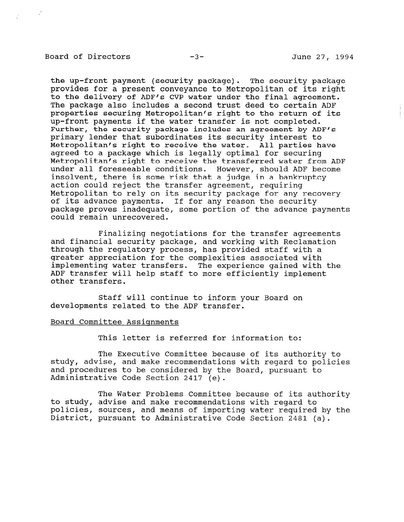# Board of Directors -3- June 27, 1994

the up-front payment (security package). The security package provides for a present conveyance to Metropolitan of its right to the delivery of ADF's CVP water under the final agreement. The package also includes a second trust deed to certain ADF properties securing Metropolitan's right to the return of its up-front payments if the water transfer is not completed. Further, the security package includes an agreement by ADF's primary lender that subordinates its security interest to Metropolitan's right to receive the water. All parties have agreed to a package which is legally optimal for securing Metropolitan's right to receive the transferred water from ADF under all foreseeable conditions. However, should ADF become insolvent, there is some risk that a judge in a bankruptcy action could reject the transfer agreement, requiring Metropolitan to rely on its security package for any recovery of its advance payments. If for any reason the security package proves inadequate, some portion of the advance payments could remain unrecovered.

Finalizing negotiations for the transfer agreements and financial security package, and working with Reclamation through the regulatory process, has provided staff with a greater appreciation for the complexities associated with implementing water transfers. The experience gained with the ADF transfer will help staff to more efficiently implement other transfers.

Staff will continue to inform your Board on developments related to the ADF transfer.

# Board Committee Assiqnments

This letter is referred for information to:

The Executive Committee because of its authority to study, advise, and make recommendations with regard to policies and procedures to be considered by the Board, pursuant to Administrative Code Section 2417 (e).

The Water Problems Committee because of its authority to study, advise and make recommendations with regard to policies, advise and make recommendations with regard to poircies, sources, and means or importing water required b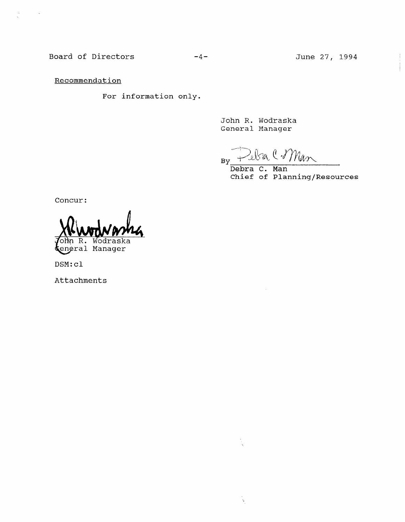Board of Directors -4-

**Recommendation** 

 $\sim$   $\sim$ 

For information only.

John R. Wodraska General Manager

ţ,

Man **By** 

Debra C. Man Chief of Planning/Resources

Concur:

'ohn R. Wodraska eneral Manager

DSM:cl

Attachments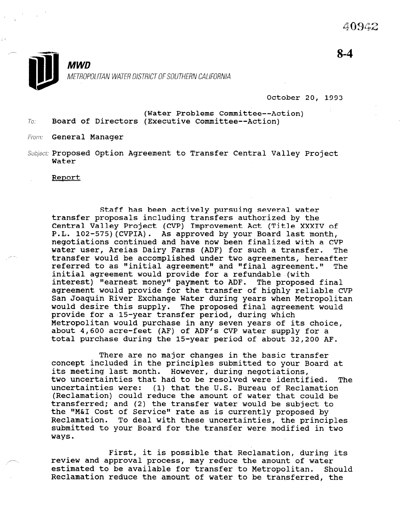

October 20, 1993

(Water Problems Committee--Action)  $7o:$  Board of Directors (Executive Committee--Action)

From: **General Manager** 

Subject: Proposed Option Agreement to Transfer Central Valley Project Water

Report

Staff has been actively pursuing several water transfer proposals including transfers authorized by the Central Valley Project (CVP) Improvement Act (Title XXXIV of P.L. 102-575)(CVPIA). As approved by your Board last month, negotiations continued and have now been finalized with a CVP water user, Areias Dairy Farms (ADF) for such a transfer. The transfer would be accomplished under two agreements, hereafter referred to as "initial agreement" and "final agreement." The initial agreement would provide for a refundable (with interest) "earnest money" payment to ADF. The proposed final agreement would provide for the transfer of highly reliable CVP San Joaquin River Exchange Water during years when Metropolitan would desire this supply. The proposed final agreement would provide for a 15-year transfer period, during which Metropolitan would purchase in any seven years of its choice, necroporrean would purchase in any seven years of its chord about 4,000 actesteet (Ar) of Abr 5 thr water supply for a

There are no major changes in the basic transfer concept included in the principles submitted to your Board at its meeting last month. However, during negotiations, two uncertainties that had to be resolved were identified. The uncertainties what had to be resorved were identified.<br>Incontainties were: (1) that the U.S. Bureau of Beslemati (Reclamation) could reduce the amount of water that could be (Reclamation) could reduce the amount of water that could be transferred; and (2) the transfer water would be subject to the "M&I Cost of Service" rate as is currently proposed by Reclamation. To deal with these uncertainties, the principles submitted to your Board for the transfer were modified in two ways.

First, it is possible that Reclamation, during its rirst, it is possible that Reclamation, during<br>may reduce the amount of water review and approval process, may reduce the amount of water<br>estimated to be available for transfer to Metropolitan. Should estimated to be available for transfer to Metropolitan. Shoul<br>Reclamation reduce the amount of water to be transferred, the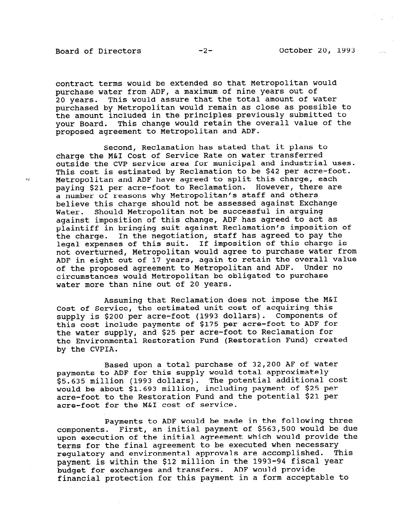## Board of Directors -2- October 20, 1993

contract terms would be extended so that Metropolitan would purchase water from ADF, a maximum of nine years out of 20 years. This would assure that the total amount of water purchased by Metropolitan would remain as close as possible to the amount included in the principles previously submitted to your Board. This change would retain the overall value of the proposed agreement to Metropolitan and ADF.

Second, Reclamation has stated that it plans to charge the M&I Cost of Service Rate on water transferred outside the CVP service area for municipal and industrial uses. This cost is estimated by Reclamation to be \$42 per acre-foot. Metropolitan and ADF have agreed to split this charge, each paying \$21 per acre-foot to Reclamation. However, there are a number of reasons why Metropolitan's staff and others believe this charge should not be assessed against Exchange Water. Should Metropolitan not be successful in arguing against imposition of this change, ADF has agreed to act as plaintiff in bringing suit against Reclamation's imposition of the charge. In the negotiation, staff has agreed to pay the legal expenses of this suit. If imposition of this charge is not overturned, Metropolitan would agree to purchase water from ADF in eight out of 17 years, again to retain the overall value of the proposed agreement to Metropolitan and ADF. Under no circumstances would Metropolitan be obligated to purchase water more than nine out of 20 years.

Assuming that Reclamation does not impose the M&I Cost of Service, the estimated unit cost of acquiring this supply is \$200 per acre-foot (1993 dollars). Components of this cost include payments of \$175 per acre-foot to ADF for the water supply, and \$25 per acre-foot to Reclamation for the Environmental Restoration Fund (Restoration Fund) created by the CVPIA.

Based upon a total purchase of 32,200 AF of water payments to ADF for this supply would total approximately payments to ADI for this supply would total approximately<br>es eas million (1993 dollars). The potential additional cost pp.000 million (1990 dollars). The potential duditional composition acre-foot to the Restoration Fund and the potential \$21 per acre-foot for the M&I cost of service.

Payments to ADF would be made in the following three components. First, an initial payment of \$563,500 would be due upon execution of the initial agreement which would provide the upon execution of the initial agreement which would provide<br>thermal for the final agreement to be executed when necessary rerms for the final agreement to be executed when hecessary<br>.....latence and environmental approvals are accomplished. This payment is within the \$12 million in the 1993-94 fiscal year payment is within the \$12 million in the 1993-94 filse budget for exchanges and transfers. ADF would provide<br>financial protection for this payment in a form acceptable to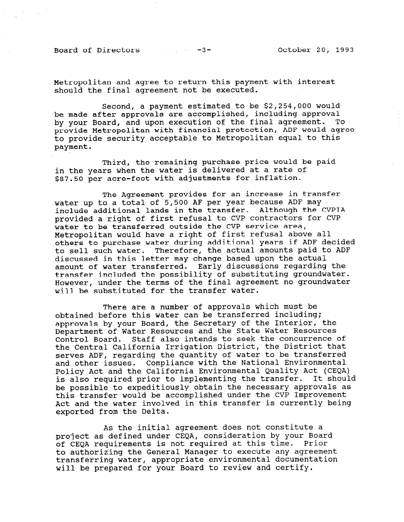Board of Directors -3- October 20, 1993

Metropolitan and agree to return this payment with interest should the final agreement not be executed.

Second, a payment estimated to be \$2,254,000 would be made after approvals are accomplished, including approval by your Board, and upon execution of the final agreement. To provide Metropolitan with financial protection, ADF would agree to provide security acceptable to Metropolitan equal to this payment.

Third, the remaining purchase price would be paid in the years when the water is delivered at a rate of \$87.50 per acre-foot with adjustments for inflation.

The Agreement provides for an increase in transfer water up to a total of 5,500 AF per year because ADF may include additional lands in the transfer. Although the CVPIA provided a right of first refusal to CVP contractors for CVP water to be transferred outside the CVP service area, Metropolitan would have a right of first refusal above all others to purchase water during additional years if ADF decided to sell such water. Therefore, the actual amounts paid to,ADF discussed in this letter may change based upon the actual amount of water transferred. Early discussions regarding the transfer included the possibility of substituting groundwater. However, under the terms of the final agreement no groundwater will be substituted for the transfer water.

There are a number of approvals which must be obtained before this water can be transferred including; optained before this water can be transferred incruding,<br>approvals by your Board, the Secretary of the Interior, the Department of Water Resources and the State Water Resources Control Board. Staff also intends to seek the concurrence of the Central California Irrigation District, the District that che central california inflyation bistrict, the bistrict t serves and, regarding the quantity or water to be transfer<br>and other issues. Compliance with the National Environment and other issues. Compliance with the National Environmental<br>Policy Act and the California Environmental Quality Act (CEQA) is also required prior to implementing the transfer. It should be possible to expeditiously obtain the necessary approvals as this transfer would be accomplished under the CVP Improvement Act and the water involved in this transfer is currently being exported from the Delta.

As the initial agreement does not constitute a project as the initial agreement does not constitute a project as defined under CEQA, consideration by your Board prior and the consideration of this time. Prior of CEQA requirements is not required at this time. Prior to authorizing the General Manager to execute any agreement<br>transferring water, appropriate environmental documentation will be prepared for your Board to review and certify.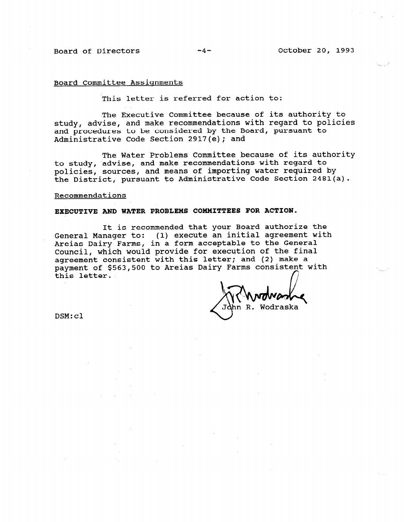# Board Committee Assiqnments

'This letter is referred for action to:

The Executive Committee because of its authority to study, advise, and make recommendations with regard to policies and procedures to be considered by the Board, pursuant to Administrative Code Section 2917(e); and

The Water Problems Committee because of its authority to study, 'advise, and make recommendations with regard to policies, sources, and means of importing water required by the District, pursuant to Administrative Code Section 2481(a).

#### Recommendations

### EXECUTIVE AND WATER PROBLEMS COMMITTEES FOR ACTION.

It is recommended that your Board authorize the General Manager to: (1) execute an initial agreement with Areias Dairy Farms, in a form acceptable to the General Council, which would provide for execution of the final agreement consistent with this letter; and (2) make a payment of \$563,500 to Areias Dairy Farms consistent with payment of 4909,000 to micral later remain control.<br>this letter.

dhn R. Wodraska

DSM:cl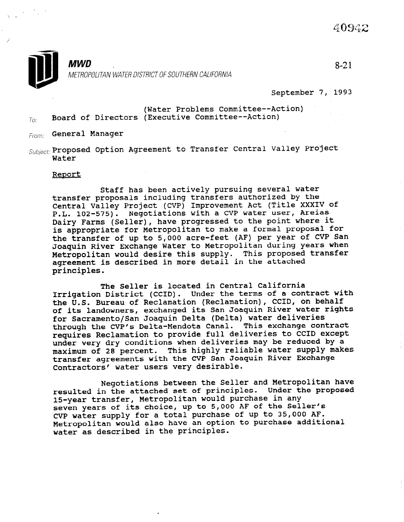

September 7, 1993

(Water Problems Committee--Action)  $T_{OC}$  Board of Directors (Executive Committee--Action)

From: General Manager

 $\mathcal{S}$ ubject: Proposed Option Agreement to Transfer Central Valley Project Water

# Report

Staff has been actively pursuing several water transfer proposals including transfers authorized by the Central Valley Project (CVP) Improvement Act (Title XXXIV of P.L. 102-575). Negotiations with a CVP water user, Areias Dairy Farms (Seller), have progressed to the point where it is appropriate for Metropolitan to make a formal proposal for the transfer of up to 5,000 acre-feet (AF) per year of CVP San Joaquin River Exchange Water to Metropolitan during years when Metropolitan would desire this supply. This proposed transfer agreement is described in more detail in the attached principles.

The Seller is located in Central California Irrigation District (CCID). Under the terms of a contract with the U.S. Bureau of Reclamation (Reclamation), CCID, on behalf of its landowners, exchanged its San Joaquin River water rights for Sacramento/San Joaquin Delta (Delta) water deliveries through the CVP's Delta-Mendota Canal. This exchange contract requires Reclamation to provide full deliveries to CCID except under very dry conditions when deliveries may be reduced by a maximum of 28 percent. This highly reliable water supply makes transfer agreements with the CVP San Joaquin River Exchange Contractors' water users very desirable.

Negotiations between the Seller and Metropolitan have resulted in the attached set of principles. Under the proposed 15-year transfer, Metropolitan would purchase in any seven years of its choice, up to 5,000 AF of the Seller's CVP water supply for a total purchase of up to 35,000 AF. Metropolitan would also have an option to purchase additional water as described in the principles.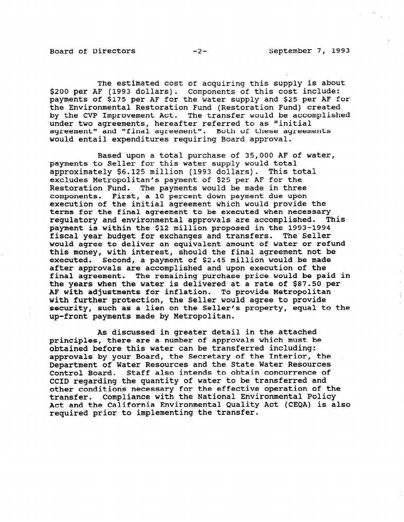$\frac{1}{2}$ 

The estimated cost of acquiring this supply is about \$200 per AF (1993 dollars). Components of this cost include: payments of \$175 per AF for the water supply and \$25 per AF for the Environmental Restoration Fund (Restoration Fund) created by the CVP Improvement Act. The transfer would be accomplished under two agreements, hereafter referred to as "initial agreement" and "final agreement". Both of these agreements would entail expenditures requiring Board approval.

Based upon a total purchase of 35,000 AF of water, payments to Seller for this water supply would total approximately \$6.125 million (1993 dollars). This total excludes Metropolitan's payment of \$25 per AF for the Processes increases in the payments would be made in three components. First, a 10 percent down payment due upon execution of the initial agreement which would provide the terms for the final agreement to be executed when necessary regulatory and environmental approvals are accomplished. This payment is within the \$12 million proposed in the 1993-1994 fiscal year budget for exchanges and transfers. The Seller would agree to deliver an equivalent amount of water or refund this money, with interest, should the final agreement not be executed. Second, a payment of \$2.45 million would be made after approvals are accomplished and upon execution of the final agreement. The remaining purchase price would be paid in the years when the water is delivered at a rate of \$87.50 per AF with adjustments for inflation. To provide Metropolitan with further protection, the Seller would agree to provide security, such as a lien on the Seller's property, equal to the up-front payments made by Metropolitan.

As discussed in greater detail in the attached principles, there are a number of approvals which must be obtained before this water can be transferred including: approvals by your Board, the Secretary of the Interior, the Department of Water Resources and the State Water Resources Control Board. Staff also intends to obtain concurrence of CCID regarding the quantity of water to be transferred and other conditions necessary for the effective operation of the transfer. Compliance with the National Environmental Policy Act and the California Environmental Quality Act (CEQA) is also required prior to implementing the transfer.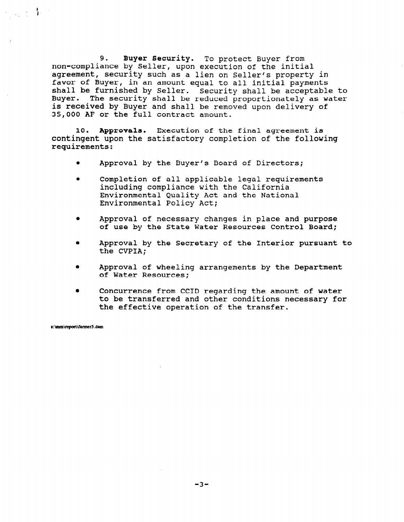9. Buyer Security. To protect Buyer from non-compliance by Seller, upon execution of the initial agreement, security such as a lien on Seller's property in favor of Buyer, in an amount equal to all initial payments shall be furnished by Seller. Security shall be acceptable to Buyer. The security shall be reduced proportionately as water is received by Buyer and shall be removed upon delivery of 35,000 AF or the full contract amount.

10. Approvals. Execution of the final agreement is contingent upon the satisfactory completion of the following requirements:

- Approval by the Buyer's Board of Directors;
- Completion of all applicable legal requirements including compliance with the California Environmental Quality Act and the National Environmental Policy Act;
- Approval of necessary changes in place and purpose of use by the State Water Resources Control Board;
- <sup>0</sup>Approval by the Secretary of the Interior pursuant to the CVPIA;
- <sup>l</sup>Approval of wheeling arrangements by the Department of Water Resources;
- <sup>0</sup>Concurrence from CCID regarding the amount of water to be transferred and other conditions necessary for the effective operation of the transfer.

s: \mm\report\farmer5.dsm

经工资 教堂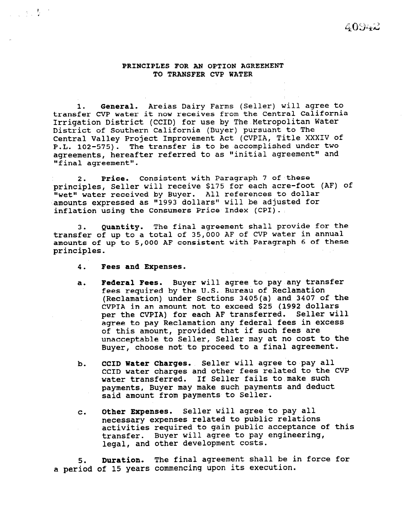# PRINCIPLES FOR AN OPTION AGREEMENT TO TRANSFER CVP WATER

1. General. Areias Dairy Farms (Seller) will agree to . transfer CVP water it now receives from the Central California Irrigation District (CCID) for use by The Metropolitan Water District of Southern California (Buyer) pursuant to The Central Valley Project Improvement Act (CVPIA, Title XXXIV of P.L. 102-575). The transfer is to be accomplished under two agreements, hereafter referred to as "initial agreement" and "final agreement".

2. Price. Consistent with Paragraph 7 of these principles, Seller will receive \$175 for each acre-foot (AF) of IIwet" water received by Buyer. All references to dollar 'amounts expressed as "1993 dollars" will be adjusted for inflation using the Consumers Price Index (CPI).

3. Quantity. The final agreement shall provide for the transfer of up to a total of 35,000 AF of CVP water in annual amounts of up to 5,000 AF consistent with Paragraph 6 of these principles.

4. Fees and Expenses.

1, . . ,

- a. Federal Fees. Buyer will agree to pay any transfer fees required by the U.S. Bureau of Reclamation (Reclamation) under Sections 3405(a) and 3407 of the CVPIA in an amount not to exceed \$25 (1992 dollars per the CVPIA) for each AF transferred. Seller will agree to pay Reclamation any federal fees in excess of this amount, provided that if such fees are unacceptable to Seller, Seller may at no cost to the Buyer, choose not to proceed to a final agreement.
- b. CCID Water Charges. Seller will agree to pay all CCID water charges and other fees related to the CVP water transferred. If Seller fails to,make such payments, Buyer may make such payments and deduct said amount from payments to Seller.
- C. Other Expenses. Seller will agree to pay all necessary expenses related to public relations activities required to gain public acceptance of this transfer. Buyer will agree to pay engineering, legal, and other development costs.

5. Duration. The final agreement shall be in force for a period of 15 years commencing upon its execution.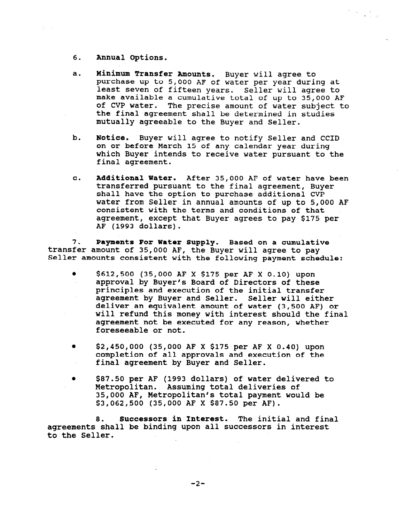- 6. Annual Options.
- a. Minimum Transfer Amounts. Buyer will agree to purchase up to 5,000 AF of water per year during at least seven of fifteen years. Seller will agree to make available a cumulative total of up to 35,000 AF of CVP water. The precise amount of water subject to the final agreement shall be determined in studies mutually agreeable to the Buyer and Seller.

 $\frac{d\mathbf{y}}{dt} = \frac{d\mathbf{y}}{dt} + \frac{d\mathbf{y}}{dt} + \frac{d\mathbf{y}}{dt} + \frac{d\mathbf{y}}{dt}$ 

- b. Notice. Buyer will agree to notify Seller and CCID on or before March 15 of any calendar year during which Buyer intends to receive water pursuant to the final agreement.
- C. Additional Water. After 35,000 AF of water have been transferred pursuant to the final agreement, Buyer shall have the option to purchase additional CVP water from Seller in annual amounts of up to 5,000 AF consistent with the terms and conditions of that agreement, except that Buyer agrees to pay \$175 per AF (1993 dollars).

7. transfer amount of 35,000 AF, the Buyer will agree to pay Payments For Water Supply. Based on a cumulative Seller amounts consistent with the following payment schedule:

- $\bullet$  \$612,500 (35,000 AF X \$175 per AF X 0.10) upon approval by Buyer's Board of Directors of these principles and execution of the initial transfer agreement by Buyer and Seller. Seller will either deliver an equivalent amount of water (3,500 AF) or will refund this money with interest should the final agreement not be executed for any reason, whether foreseeable or not.
- $\bullet$  \$2,450,000 (35,000 AF X \$175 per AF X 0.40) upon completion of all approvals and execution of the final agreement by Buyer and Seller.
- <sup>0</sup>\$87.50 per AF (1993 dollars) of water delivered to Metropolitan. Assuming total deliveries of 35,000 AF, Metropolitan's total payment would be \$3,062,500 (35,000 AF X \$87.50 per AF).

8. Successors in Interest. The initial and final agreements shall be binding upon all successors in interest to the Seller.